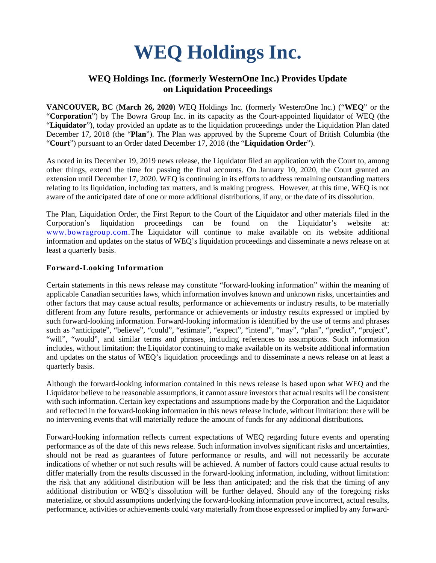# **WEQ Holdings Inc.**

# **WEQ Holdings Inc. (formerly WesternOne Inc.) Provides Update on Liquidation Proceedings**

**VANCOUVER, BC** (**March 26, 2020**) WEQ Holdings Inc. (formerly WesternOne Inc.) ("**WEQ**" or the "**Corporation**") by The Bowra Group Inc. in its capacity as the Court-appointed liquidator of WEQ (the "**Liquidator**"), today provided an update as to the liquidation proceedings under the Liquidation Plan dated December 17, 2018 (the "**Plan**"). The Plan was approved by the Supreme Court of British Columbia (the "**Court**") pursuant to an Order dated December 17, 2018 (the "**Liquidation Order**").

As noted in its December 19, 2019 news release, the Liquidator filed an application with the Court to, among other things, extend the time for passing the final accounts. On January 10, 2020, the Court granted an extension until December 17, 2020. WEQ is continuing in its efforts to address remaining outstanding matters relating to its liquidation, including tax matters, and is making progress. However, at this time, WEQ is not aware of the anticipated date of one or more additional distributions, if any, or the date of its dissolution.

The Plan, Liquidation Order, the First Report to the Court of the Liquidator and other materials filed in the Corporation's liquidation proceedings can be found on the Liquidator's website at: [www.bowragroup.com.](http://www.bowragroup.com/)The Liquidator will continue to make available on its website additional information and updates on the status of WEQ's liquidation proceedings and disseminate a news release on at least a quarterly basis.

## **Forward-Looking Information**

Certain statements in this news release may constitute "forward-looking information" within the meaning of applicable Canadian securities laws, which information involves known and unknown risks, uncertainties and other factors that may cause actual results, performance or achievements or industry results, to be materially different from any future results, performance or achievements or industry results expressed or implied by such forward-looking information. Forward-looking information is identified by the use of terms and phrases such as "anticipate", "believe", "could", "estimate", "expect", "intend", "may", "plan", "predict", "project", "will", "would", and similar terms and phrases, including references to assumptions. Such information includes, without limitation: the Liquidator continuing to make available on its website additional information and updates on the status of WEQ's liquidation proceedings and to disseminate a news release on at least a quarterly basis.

Although the forward-looking information contained in this news release is based upon what WEQ and the Liquidator believe to be reasonable assumptions, it cannot assure investors that actual results will be consistent with such information. Certain key expectations and assumptions made by the Corporation and the Liquidator and reflected in the forward-looking information in this news release include, without limitation: there will be no intervening events that will materially reduce the amount of funds for any additional distributions.

Forward-looking information reflects current expectations of WEQ regarding future events and operating performance as of the date of this news release. Such information involves significant risks and uncertainties, should not be read as guarantees of future performance or results, and will not necessarily be accurate indications of whether or not such results will be achieved. A number of factors could cause actual results to differ materially from the results discussed in the forward-looking information, including, without limitation: the risk that any additional distribution will be less than anticipated; and the risk that the timing of any additional distribution or WEQ's dissolution will be further delayed. Should any of the foregoing risks materialize, or should assumptions underlying the forward-looking information prove incorrect, actual results, performance, activities or achievements could vary materially from those expressed or implied by any forward